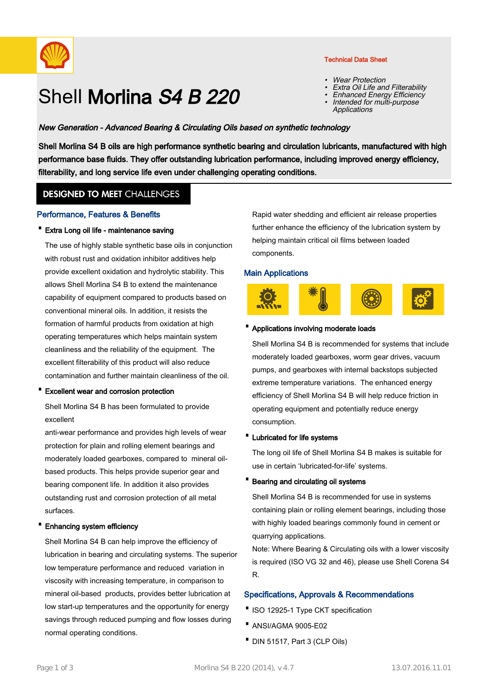

# Technical Data Sheet

- •Wear Protection
- •Extra Oil Life and Filterability
- •Enhanced Energy Efficiency
- Intended for multi-purpose **Applications** •

## New Generation - Advanced Bearing & Circulating Oils based on synthetic technology

Shell Morlina S4 B oils are high performance synthetic bearing and circulation lubricants, manufactured with high performance base fluids. They offer outstanding lubrication performance, including improved energy efficiency, filterability, and long service life even under challenging operating conditions.

# **DESIGNED TO MEET CHALLENGES**

#### Performance, Features & Benefits

· Extra Long oil life - maintenance saving

The use of highly stable synthetic base oils in conjunction with robust rust and oxidation inhibitor additives help provide excellent oxidation and hydrolytic stability. This allows Shell Morlina S4 B to extend the maintenance capability of equipment compared to products based on conventional mineral oils. In addition, it resists the formation of harmful products from oxidation at high operating temperatures which helps maintain system cleanliness and the reliability of the equipment. The excellent filterability of this product will also reduce contamination and further maintain cleanliness of the oil.

Shell Morlina S4 B 220

· Excellent wear and corrosion protection

Shell Morlina S4 B has been formulated to provide excellent

anti-wear performance and provides high levels of wear protection for plain and rolling element bearings and moderately loaded gearboxes, compared to mineral oilbased products. This helps provide superior gear and bearing component life. In addition it also provides outstanding rust and corrosion protection of all metal surfaces.

## · Enhancing system efficiency

Shell Morlina S4 B can help improve the efficiency of lubrication in bearing and circulating systems. The superior low temperature performance and reduced variation in viscosity with increasing temperature, in comparison to mineral oil-based products, provides better lubrication at low start-up temperatures and the opportunity for energy savings through reduced pumping and flow losses during normal operating conditions.

Rapid water shedding and efficient air release properties further enhance the efficiency of the lubrication system by helping maintain critical oil films between loaded components.

## Main Applications



#### · Applications involving moderate loads

Shell Morlina S4 B is recommended for systems that include moderately loaded gearboxes, worm gear drives, vacuum pumps, and gearboxes with internal backstops subjected extreme temperature variations. The enhanced energy efficiency of Shell Morlina S4 B will help reduce friction in operating equipment and potentially reduce energy consumption.

#### · Lubricated for life systems

The long oil life of Shell Morlina S4 B makes is suitable for use in certain 'lubricated-for-life' systems.

#### · Bearing and circulating oil systems

Shell Morlina S4 B is recommended for use in systems containing plain or rolling element bearings, including those with highly loaded bearings commonly found in cement or quarrying applications.

Note: Where Bearing & Circulating oils with a lower viscosity is required (ISO VG 32 and 46), please use Shell Corena S4 R.

#### Specifications, Approvals & Recommendations

- ·ISO 12925-1 Type CKT specification
- · ANSI/AGMA 9005-E02
- · DIN 51517, Part 3 (CLP Oils)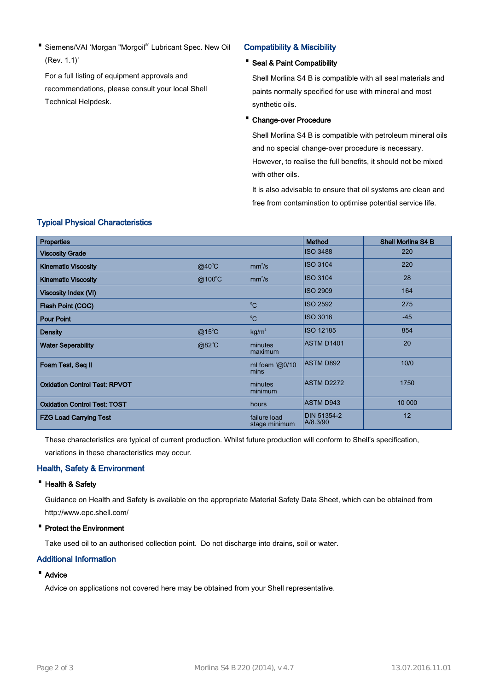• Siemens/VAI 'Morgan "Morgoil<sup>®</sup>' Lubricant Spec. New Oil (Rev. 1.1)'

For a full listing of equipment approvals and recommendations, please consult your local Shell Technical Helpdesk.

# Compatibility & Miscibility

# · Seal & Paint Compatibility

Shell Morlina S4 B is compatible with all seal materials and paints normally specified for use with mineral and most synthetic oils.

# · Change-over Procedure

Shell Morlina S4 B is compatible with petroleum mineral oils and no special change-over procedure is necessary. However, to realise the full benefits, it should not be mixed with other oils.

It is also advisable to ensure that oil systems are clean and free from contamination to optimise potential service life.

| <b>Properties</b>                    |                 |                               | Method                         | <b>Shell Morlina S4 B</b> |
|--------------------------------------|-----------------|-------------------------------|--------------------------------|---------------------------|
| <b>Viscosity Grade</b>               |                 |                               | <b>ISO 3488</b>                | 220                       |
| <b>Kinematic Viscosity</b>           | $@40^{\circ}$ C | mm <sup>2</sup> /s            | <b>ISO 3104</b>                | 220                       |
| <b>Kinematic Viscosity</b>           | @100°C          | mm <sup>2</sup> /s            | <b>ISO 3104</b>                | 28                        |
| <b>Viscosity Index (VI)</b>          |                 |                               | <b>ISO 2909</b>                | 164                       |
| Flash Point (COC)                    |                 | $^{\circ}C$                   | <b>ISO 2592</b>                | 275                       |
| <b>Pour Point</b>                    |                 | $^{\circ}$ C                  | <b>ISO 3016</b>                | $-45$                     |
| <b>Density</b>                       | $@15^{\circ}$ C | kg/m <sup>3</sup>             | <b>ISO 12185</b>               | 854                       |
| <b>Water Seperability</b>            | @82°C           | minutes<br>maximum            | ASTM D1401                     | 20                        |
| Foam Test, Seq II                    |                 | ml foam '@0/10<br>mins        | <b>ASTM D892</b>               | 10/0                      |
| <b>Oxidation Control Test: RPVOT</b> |                 | minutes<br>minimum            | ASTM D2272                     | 1750                      |
| <b>Oxidation Control Test: TOST</b>  |                 | hours                         | <b>ASTM D943</b>               | 10 000                    |
| <b>FZG Load Carrying Test</b>        |                 | failure load<br>stage minimum | <b>DIN 51354-2</b><br>A/8.3/90 | 12                        |

# Typical Physical Characteristics

These characteristics are typical of current production. Whilst future production will conform to Shell's specification, variations in these characteristics may occur.

# Health, Safety & Environment

## · Health & Safety

Guidance on Health and Safety is available on the appropriate Material Safety Data Sheet, which can be obtained from http://www.epc.shell.com/

## · Protect the Environment

Take used oil to an authorised collection point. Do not discharge into drains, soil or water.

# Additional Information

# · Advice

Advice on applications not covered here may be obtained from your Shell representative.